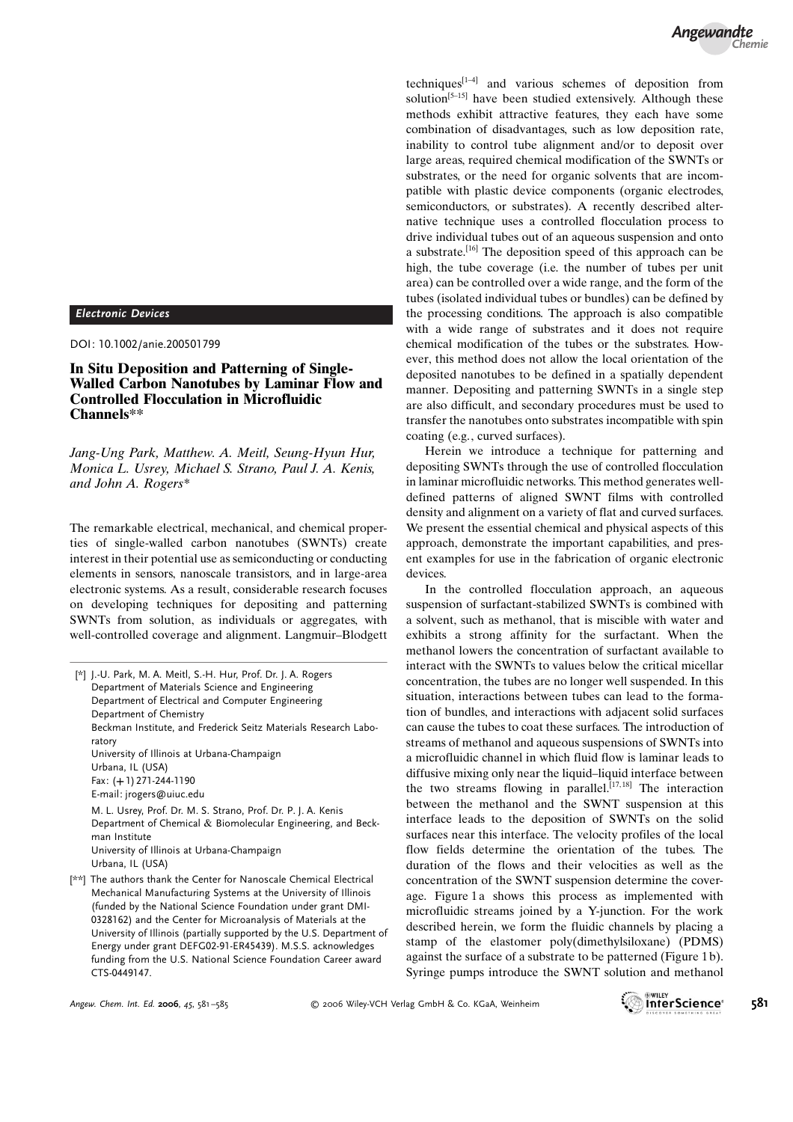Electronic Devices

DOI: 10.1002/anie.200501799

In Situ Deposition and Patterning of Single-Walled Carbon Nanotubes by Laminar Flow and Controlled Flocculation in Microfluidic Channels\*\*

Jang-Ung Park, Matthew. A. Meitl, Seung-Hyun Hur, Monica L. Usrey, Michael S. Strano, Paul J. A. Kenis, and John A. Rogers\*

The remarkable electrical, mechanical, and chemical properties of single-walled carbon nanotubes (SWNTs) create interest in their potential use as semiconducting or conducting elements in sensors, nanoscale transistors, and in large-area electronic systems. As a result, considerable research focuses on developing techniques for depositing and patterning SWNTs from solution, as individuals or aggregates, with well-controlled coverage and alignment. Langmuir–Blodgett

| [*] J.-U. Park, M. A. Meitl, S.-H. Hur, Prof. Dr. J. A. Rogers |                                                                     |
|----------------------------------------------------------------|---------------------------------------------------------------------|
| Department of Materials Science and Engineering                |                                                                     |
| Department of Electrical and Computer Engineering              |                                                                     |
| Department of Chemistry                                        |                                                                     |
| ratory                                                         | Beckman Institute, and Frederick Seitz Materials Research Labo-     |
| University of Illinois at Urbana-Champaign                     |                                                                     |
| Urbana, IL (USA)                                               |                                                                     |
| Fax: (+1) 271-244-1190                                         |                                                                     |
| E-mail: jrogers@uiuc.edu                                       |                                                                     |
|                                                                | M. L. Usrey, Prof. Dr. M. S. Strano, Prof. Dr. P. J. A. Kenis       |
| man Institute                                                  | Department of Chemical & Biomolecular Engineering, and Beck-        |
| University of Illinois at Urbana-Champaign<br>Urbana, IL (USA) |                                                                     |
|                                                                |                                                                     |
|                                                                | [**] The authors thank the Center for Nanoscale Chemical Electrical |

Mechanical Manufacturing Systems at the University of Illinois (funded by the National Science Foundation under grant DMI-0328162) and the Center for Microanalysis of Materials at the University of Illinois (partially supported by the U.S. Department of Energy under grant DEFG02-91-ER45439). M.S.S. acknowledges funding from the U.S. National Science Foundation Career award CTS-0449147.

techniques<sup>[1–4]</sup> and various schemes of deposition from solution<sup>[5-15]</sup> have been studied extensively. Although these methods exhibit attractive features, they each have some combination of disadvantages, such as low deposition rate, inability to control tube alignment and/or to deposit over large areas, required chemical modification of the SWNTs or substrates, or the need for organic solvents that are incompatible with plastic device components (organic electrodes, semiconductors, or substrates). A recently described alternative technique uses a controlled flocculation process to drive individual tubes out of an aqueous suspension and onto a substrate.[16] The deposition speed of this approach can be high, the tube coverage (i.e. the number of tubes per unit area) can be controlled over a wide range, and the form of the tubes (isolated individual tubes or bundles) can be defined by the processing conditions. The approach is also compatible with a wide range of substrates and it does not require chemical modification of the tubes or the substrates. However, this method does not allow the local orientation of the deposited nanotubes to be defined in a spatially dependent manner. Depositing and patterning SWNTs in a single step are also difficult, and secondary procedures must be used to transfer the nanotubes onto substrates incompatible with spin coating (e.g., curved surfaces).

Herein we introduce a technique for patterning and depositing SWNTs through the use of controlled flocculation in laminar microfluidic networks. This method generates welldefined patterns of aligned SWNT films with controlled density and alignment on a variety of flat and curved surfaces. We present the essential chemical and physical aspects of this approach, demonstrate the important capabilities, and present examples for use in the fabrication of organic electronic devices.

In the controlled flocculation approach, an aqueous suspension of surfactant-stabilized SWNTs is combined with a solvent, such as methanol, that is miscible with water and exhibits a strong affinity for the surfactant. When the methanol lowers the concentration of surfactant available to interact with the SWNTs to values below the critical micellar concentration, the tubes are no longer well suspended. In this situation, interactions between tubes can lead to the formation of bundles, and interactions with adjacent solid surfaces can cause the tubes to coat these surfaces. The introduction of streams of methanol and aqueous suspensions of SWNTs into a microfluidic channel in which fluid flow is laminar leads to diffusive mixing only near the liquid–liquid interface between the two streams flowing in parallel.<sup>[17,18]</sup> The interaction between the methanol and the SWNT suspension at this interface leads to the deposition of SWNTs on the solid surfaces near this interface. The velocity profiles of the local flow fields determine the orientation of the tubes. The duration of the flows and their velocities as well as the concentration of the SWNT suspension determine the coverage. Figure 1 a shows this process as implemented with microfluidic streams joined by a Y-junction. For the work described herein, we form the fluidic channels by placing a stamp of the elastomer poly(dimethylsiloxane) (PDMS) against the surface of a substrate to be patterned (Figure 1 b). Syringe pumps introduce the SWNT solution and methanol

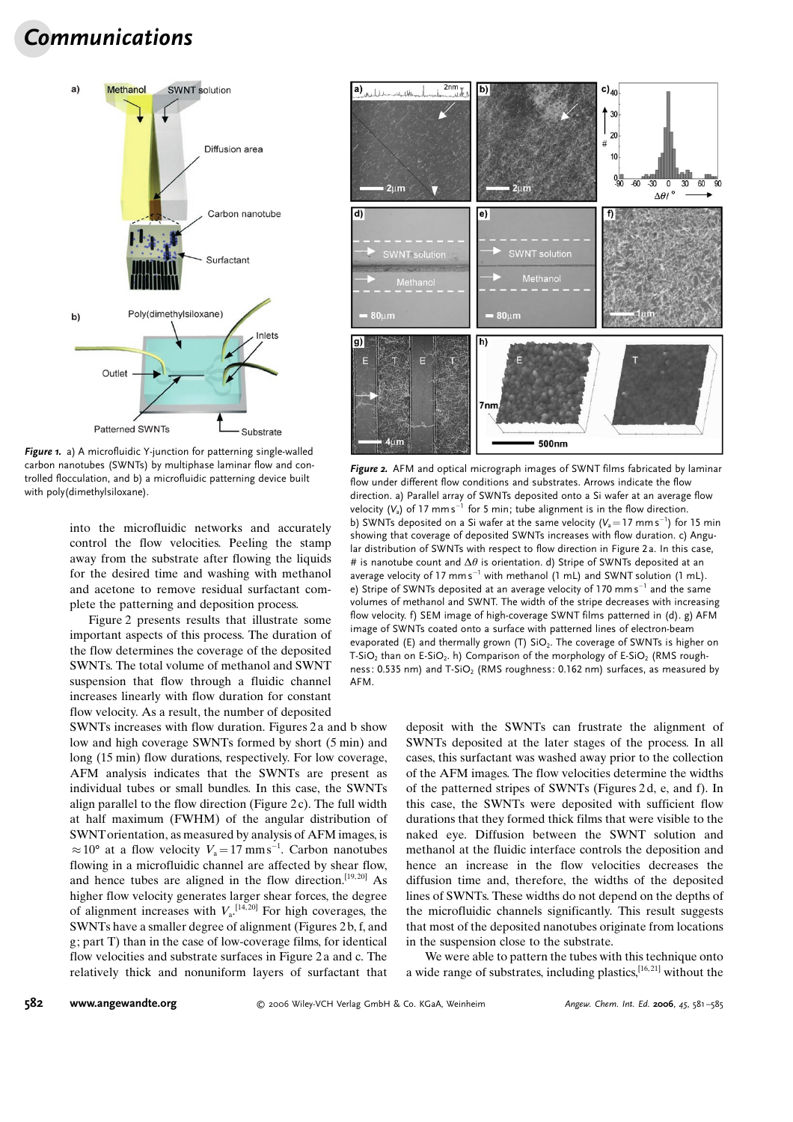## Communications



Figure 1. a) A microfluidic Y-junction for patterning single-walled carbon nanotubes (SWNTs) by multiphase laminar flow and controlled flocculation, and b) a microfluidic patterning device built with poly(dimethylsiloxane).

into the microfluidic networks and accurately control the flow velocities. Peeling the stamp away from the substrate after flowing the liquids for the desired time and washing with methanol and acetone to remove residual surfactant complete the patterning and deposition process.

Figure 2 presents results that illustrate some important aspects of this process. The duration of the flow determines the coverage of the deposited SWNTs. The total volume of methanol and SWNT suspension that flow through a fluidic channel increases linearly with flow duration for constant flow velocity. As a result, the number of deposited

SWNTs increases with flow duration. Figures 2 a and b show low and high coverage SWNTs formed by short (5 min) and long (15 min) flow durations, respectively. For low coverage, AFM analysis indicates that the SWNTs are present as individual tubes or small bundles. In this case, the SWNTs align parallel to the flow direction (Figure 2c). The full width at half maximum (FWHM) of the angular distribution of SWNTorientation, as measured by analysis of AFM images, is  $\approx 10^{\circ}$  at a flow velocity  $V_a = 17$  mms<sup>-1</sup>. Carbon nanotubes flowing in a microfluidic channel are affected by shear flow, and hence tubes are aligned in the flow direction.<sup>[19,20]</sup> As higher flow velocity generates larger shear forces, the degree of alignment increases with  $V<sub>a</sub>$ <sup>[14,20]</sup> For high coverages, the SWNTs have a smaller degree of alignment (Figures 2 b, f, and g; part T) than in the case of low-coverage films, for identical flow velocities and substrate surfaces in Figure 2 a and c. The relatively thick and nonuniform layers of surfactant that



Figure 2. AFM and optical micrograph images of SWNT films fabricated by laminar flow under different flow conditions and substrates. Arrows indicate the flow direction. a) Parallel array of SWNTs deposited onto a Si wafer at an average flow velocity (V $_{\rm a}$ ) of 17 mm s $^{-1}$  for 5 min; tube alignment is in the flow direction. b) SWNTs deposited on a Si wafer at the same velocity (V $_{\mathrm{a}}$   $=$  17 mm s $^{-1}$ ) for 15 min showing that coverage of deposited SWNTs increases with flow duration. c) Angular distribution of SWNTs with respect to flow direction in Figure 2 a. In this case, # is nanotube count and  $\Delta\theta$  is orientation. d) Stripe of SWNTs deposited at an average velocity of 17  $mm s^{-1}$  with methanol (1 mL) and SWNT solution (1 mL). e) Stripe of SWNTs deposited at an average velocity of 170 mm $\,\mathsf{s}^{-1}$  and the same volumes of methanol and SWNT. The width of the stripe decreases with increasing flow velocity. f) SEM image of high-coverage SWNT films patterned in (d). g) AFM image of SWNTs coated onto a surface with patterned lines of electron-beam evaporated (E) and thermally grown (T)  $SiO<sub>2</sub>$ . The coverage of SWNTs is higher on T-SiO<sub>2</sub> than on E-SiO<sub>2</sub>. h) Comparison of the morphology of E-SiO<sub>2</sub> (RMS roughness: 0.535 nm) and T-SiO<sub>2</sub> (RMS roughness: 0.162 nm) surfaces, as measured by AFM.

deposit with the SWNTs can frustrate the alignment of SWNTs deposited at the later stages of the process. In all cases, this surfactant was washed away prior to the collection of the AFM images. The flow velocities determine the widths of the patterned stripes of SWNTs (Figures 2 d, e, and f). In this case, the SWNTs were deposited with sufficient flow durations that they formed thick films that were visible to the naked eye. Diffusion between the SWNT solution and methanol at the fluidic interface controls the deposition and hence an increase in the flow velocities decreases the diffusion time and, therefore, the widths of the deposited lines of SWNTs. These widths do not depend on the depths of the microfluidic channels significantly. This result suggests that most of the deposited nanotubes originate from locations in the suspension close to the substrate.

We were able to pattern the tubes with this technique onto a wide range of substrates, including plastics,[16, 21] without the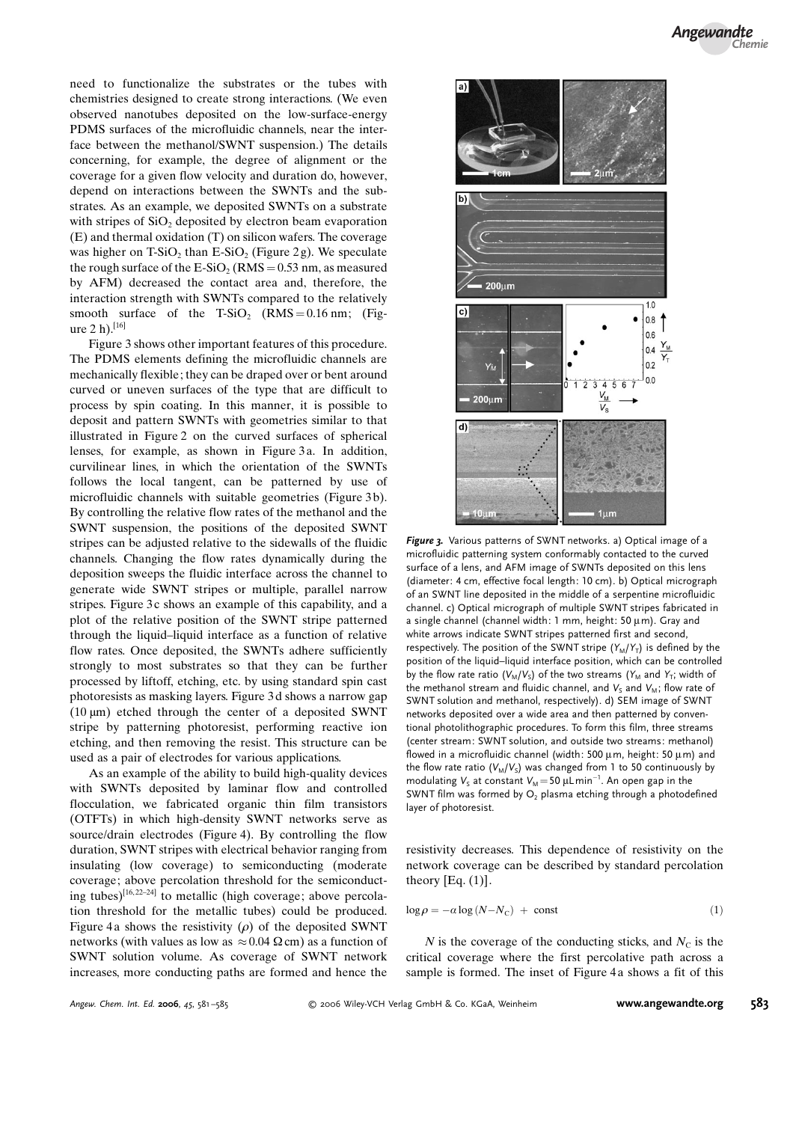need to functionalize the substrates or the tubes with chemistries designed to create strong interactions. (We even observed nanotubes deposited on the low-surface-energy PDMS surfaces of the microfluidic channels, near the interface between the methanol/SWNT suspension.) The details concerning, for example, the degree of alignment or the coverage for a given flow velocity and duration do, however, depend on interactions between the SWNTs and the substrates. As an example, we deposited SWNTs on a substrate with stripes of  $SiO<sub>2</sub>$  deposited by electron beam evaporation (E) and thermal oxidation (T) on silicon wafers. The coverage was higher on  $T-SiO<sub>2</sub>$  than  $E-SiO<sub>2</sub>$  (Figure 2g). We speculate the rough surface of the  $E-SiO<sub>2</sub>$  (RMS = 0.53 nm, as measured by AFM) decreased the contact area and, therefore, the interaction strength with SWNTs compared to the relatively smooth surface of the T-SiO<sub>2</sub> (RMS = 0.16 nm; (Figure 2 h). $[16]$ 

Figure 3 shows other important features of this procedure. The PDMS elements defining the microfluidic channels are mechanically flexible; they can be draped over or bent around curved or uneven surfaces of the type that are difficult to process by spin coating. In this manner, it is possible to deposit and pattern SWNTs with geometries similar to that illustrated in Figure 2 on the curved surfaces of spherical lenses, for example, as shown in Figure 3 a. In addition, curvilinear lines, in which the orientation of the SWNTs follows the local tangent, can be patterned by use of microfluidic channels with suitable geometries (Figure 3b). By controlling the relative flow rates of the methanol and the SWNT suspension, the positions of the deposited SWNT stripes can be adjusted relative to the sidewalls of the fluidic channels. Changing the flow rates dynamically during the deposition sweeps the fluidic interface across the channel to generate wide SWNT stripes or multiple, parallel narrow stripes. Figure 3c shows an example of this capability, and a plot of the relative position of the SWNT stripe patterned through the liquid–liquid interface as a function of relative flow rates. Once deposited, the SWNTs adhere sufficiently strongly to most substrates so that they can be further processed by liftoff, etching, etc. by using standard spin cast photoresists as masking layers. Figure 3 d shows a narrow gap (10  $\mu$ m) etched through the center of a deposited SWNT stripe by patterning photoresist, performing reactive ion etching, and then removing the resist. This structure can be used as a pair of electrodes for various applications.

As an example of the ability to build high-quality devices with SWNTs deposited by laminar flow and controlled flocculation, we fabricated organic thin film transistors (OTFTs) in which high-density SWNT networks serve as source/drain electrodes (Figure 4). By controlling the flow duration, SWNT stripes with electrical behavior ranging from insulating (low coverage) to semiconducting (moderate coverage; above percolation threshold for the semiconducting tubes)<sup>[16,22-24]</sup> to metallic (high coverage; above percolation threshold for the metallic tubes) could be produced. Figure 4a shows the resistivity  $(\rho)$  of the deposited SWNT networks (with values as low as  $\approx 0.04 \Omega$  cm) as a function of SWNT solution volume. As coverage of SWNT network increases, more conducting paths are formed and hence the



Figure 3. Various patterns of SWNT networks. a) Optical image of a microfluidic patterning system conformably contacted to the curved surface of a lens, and AFM image of SWNTs deposited on this lens (diameter: 4 cm, effective focal length: 10 cm). b) Optical micrograph of an SWNT line deposited in the middle of a serpentine microfluidic channel. c) Optical micrograph of multiple SWNT stripes fabricated in a single channel (channel width: 1 mm, height:  $50 \mu m$ ). Gray and white arrows indicate SWNT stripes patterned first and second, respectively. The position of the SWNT stripe  $(Y_M/Y_T)$  is defined by the position of the liquid–liquid interface position, which can be controlled by the flow rate ratio ( $V_M/V_S$ ) of the two streams ( $Y_M$  and  $Y_T$ ; width of the methanol stream and fluidic channel, and  $V_s$  and  $V_M$ ; flow rate of SWNT solution and methanol, respectively). d) SEM image of SWNT networks deposited over a wide area and then patterned by conventional photolithographic procedures. To form this film, three streams (center stream: SWNT solution, and outside two streams: methanol) flowed in a microfluidic channel (width: 500  $\mu$ m, height: 50  $\mu$ m) and the flow rate ratio ( $V_M/V_S$ ) was changed from 1 to 50 continuously by modulating  $V_{\textrm{S}}$  at constant  $V_{\textrm{M}}\!=\!50$   $\mu$ L $\,\mathrm{min}^{-1}.$  An open gap in the SWNT film was formed by  $O<sub>2</sub>$  plasma etching through a photodefined layer of photoresist.

resistivity decreases. This dependence of resistivity on the network coverage can be described by standard percolation theory  $[Eq. (1)].$ 

$$
\log \rho = -\alpha \log (N - N_{\rm C}) + \text{const}
$$
 (1)

N is the coverage of the conducting sticks, and  $N_c$  is the critical coverage where the first percolative path across a sample is formed. The inset of Figure 4a shows a fit of this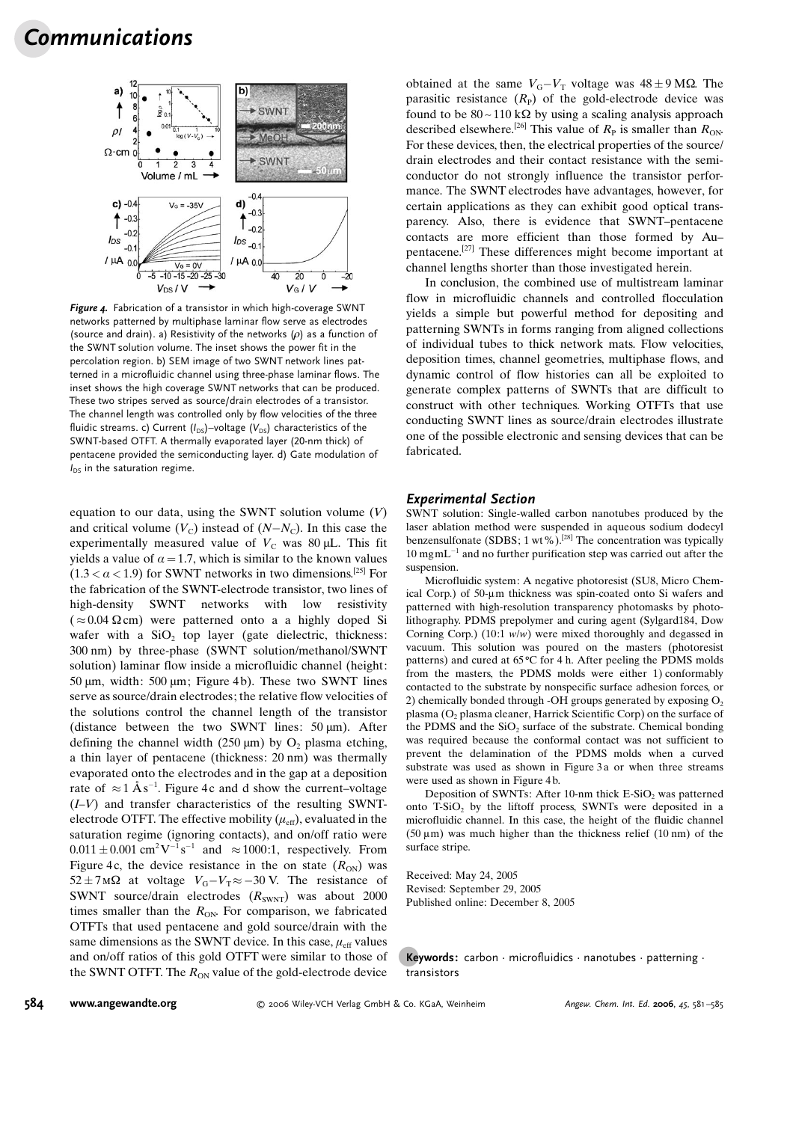

Figure 4. Fabrication of a transistor in which high-coverage SWNT networks patterned by multiphase laminar flow serve as electrodes (source and drain). a) Resistivity of the networks  $(\rho)$  as a function of the SWNT solution volume. The inset shows the power fit in the percolation region. b) SEM image of two SWNT network lines patterned in a microfluidic channel using three-phase laminar flows. The inset shows the high coverage SWNT networks that can be produced. These two stripes served as source/drain electrodes of a transistor. The channel length was controlled only by flow velocities of the three fluidic streams. c) Current ( $I_{DS}$ )–voltage ( $V_{DS}$ ) characteristics of the SWNT-based OTFT. A thermally evaporated layer (20-nm thick) of pentacene provided the semiconducting layer. d) Gate modulation of  $I_{DS}$  in the saturation regime.

equation to our data, using the SWNT solution volume  $(V)$ and critical volume  $(V_C)$  instead of  $(N-N_C)$ . In this case the experimentally measured value of  $V_c$  was 80 µL. This fit yields a value of  $\alpha = 1.7$ , which is similar to the known values  $(1.3 < \alpha < 1.9)$  for SWNT networks in two dimensions.<sup>[25]</sup> For the fabrication of the SWNT-electrode transistor, two lines of high-density SWNT networks with low resistivity  $({\approx} 0.04 \Omega$ cm) were patterned onto a a highly doped Si wafer with a  $SiO<sub>2</sub>$  top layer (gate dielectric, thickness: 300 nm) by three-phase (SWNT solution/methanol/SWNT solution) laminar flow inside a microfluidic channel (height: 50  $\mu$ m, width: 500  $\mu$ m; Figure 4b). These two SWNT lines serve as source/drain electrodes; the relative flow velocities of the solutions control the channel length of the transistor (distance between the two SWNT lines:  $50 \mu m$ ). After defining the channel width (250  $\mu$ m) by O<sub>2</sub> plasma etching, a thin layer of pentacene (thickness: 20 nm) was thermally evaporated onto the electrodes and in the gap at a deposition rate of  $\approx 1 \text{ Ås}^{-1}$ . Figure 4c and d show the current–voltage  $(I-V)$  and transfer characteristics of the resulting SWNTelectrode OTFT. The effective mobility  $(\mu_{\text{eff}})$ , evaluated in the saturation regime (ignoring contacts), and on/off ratio were  $0.011 \pm 0.001$  cm<sup>2</sup>V<sup>-1</sup>s<sup>-1</sup> and  $\approx 1000$ :1, respectively. From Figure 4c, the device resistance in the on state  $(R_{ON})$  was  $52 \pm 7 \text{ M}\Omega$  at voltage  $V_G - V_T \approx -30 \text{ V}$ . The resistance of SWNT source/drain electrodes  $(R_{\text{SWNT}})$  was about 2000 times smaller than the  $R_{ON}$ . For comparison, we fabricated OTFTs that used pentacene and gold source/drain with the same dimensions as the SWNT device. In this case,  $\mu_{\text{eff}}$  values and on/off ratios of this gold OTFT were similar to those of the SWNT OTFT. The  $R_{ON}$  value of the gold-electrode device

obtained at the same  $V_G - V_T$  voltage was  $48 \pm 9$  M $\Omega$ . The parasitic resistance  $(R_{\rm P})$  of the gold-electrode device was found to be  $80 - 110 \text{ k}\Omega$  by using a scaling analysis approach described elsewhere.<sup>[26]</sup> This value of  $R<sub>P</sub>$  is smaller than  $R<sub>ON</sub>$ . For these devices, then, the electrical properties of the source/ drain electrodes and their contact resistance with the semiconductor do not strongly influence the transistor performance. The SWNT electrodes have advantages, however, for certain applications as they can exhibit good optical transparency. Also, there is evidence that SWNT–pentacene contacts are more efficient than those formed by Au– pentacene.[27] These differences might become important at channel lengths shorter than those investigated herein.

In conclusion, the combined use of multistream laminar flow in microfluidic channels and controlled flocculation yields a simple but powerful method for depositing and patterning SWNTs in forms ranging from aligned collections of individual tubes to thick network mats. Flow velocities, deposition times, channel geometries, multiphase flows, and dynamic control of flow histories can all be exploited to generate complex patterns of SWNTs that are difficult to construct with other techniques. Working OTFTs that use conducting SWNT lines as source/drain electrodes illustrate one of the possible electronic and sensing devices that can be fabricated.

## Experimental Section

SWNT solution: Single-walled carbon nanotubes produced by the laser ablation method were suspended in aqueous sodium dodecyl benzensulfonate (SDBS; 1 wt%).<sup>[28]</sup> The concentration was typically  $10 \text{ mgm}$ L<sup>-1</sup> and no further purification step was carried out after the suspension.

Microfluidic system: A negative photoresist (SU8, Micro Chemical Corp.) of 50-um thickness was spin-coated onto Si wafers and patterned with high-resolution transparency photomasks by photolithography. PDMS prepolymer and curing agent (Sylgard184, Dow Corning Corp.) (10:1  $w/w$ ) were mixed thoroughly and degassed in vacuum. This solution was poured on the masters (photoresist patterns) and cured at  $65^{\circ}$ C for 4 h. After peeling the PDMS molds from the masters, the PDMS molds were either 1) conformably contacted to the substrate by nonspecific surface adhesion forces, or 2) chemically bonded through -OH groups generated by exposing  $O<sub>2</sub>$ plasma ( $O<sub>2</sub>$  plasma cleaner, Harrick Scientific Corp) on the surface of the PDMS and the SiO<sub>2</sub> surface of the substrate. Chemical bonding was required because the conformal contact was not sufficient to prevent the delamination of the PDMS molds when a curved substrate was used as shown in Figure 3a or when three streams were used as shown in Figure 4 b.

Deposition of SWNTs: After 10-nm thick  $E-SiO<sub>2</sub>$  was patterned onto  $T-SiO<sub>2</sub>$  by the liftoff process, SWNTs were deposited in a microfluidic channel. In this case, the height of the fluidic channel  $(50 \,\mu\text{m})$  was much higher than the thickness relief  $(10 \,\text{nm})$  of the surface stripe.

Received: May 24, 2005 Revised: September 29, 2005 Published online: December 8, 2005

Keywords: carbon  $\cdot$  microfluidics  $\cdot$  nanotubes  $\cdot$  patterning  $\cdot$ transistors